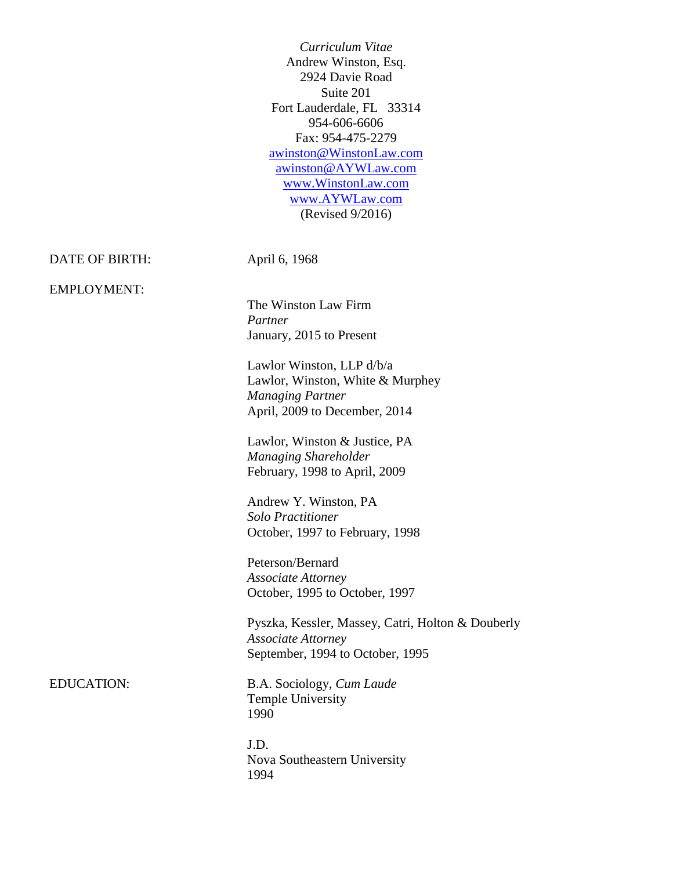*Curriculum Vitae*  Andrew Winston, Esq. 2924 Davie Road Suite 201 Fort Lauderdale, FL 33314 954-606-6606 Fax: 954-475-2279 [awinston@WinstonLaw.com](mailto:awinston@WinstonLaw.com) [awinston@AYWLaw.com](mailto:awinston@AYWLaw.com) [www.WinstonLaw.com](http://www.winstonlaw.com/) [www.AYWLaw.com](http://www.aywlaw.com/) (Revised 9/2016)

DATE OF BIRTH: April 6, 1968

EMPLOYMENT:

The Winston Law Firm *Partner* January, 2015 to Present

Lawlor Winston, LLP d/b/a Lawlor, Winston, White & Murphey *Managing Partner* April, 2009 to December, 2014

Lawlor, Winston & Justice, PA *Managing Shareholder* February, 1998 to April, 2009

Andrew Y. Winston, PA *Solo Practitioner* October, 1997 to February, 1998

Peterson/Bernard *Associate Attorney* October, 1995 to October, 1997

Pyszka, Kessler, Massey, Catri, Holton & Douberly *Associate Attorney* September, 1994 to October, 1995

EDUCATION: B.A. Sociology, *Cum Laude* Temple University 1990

> J.D. Nova Southeastern University 1994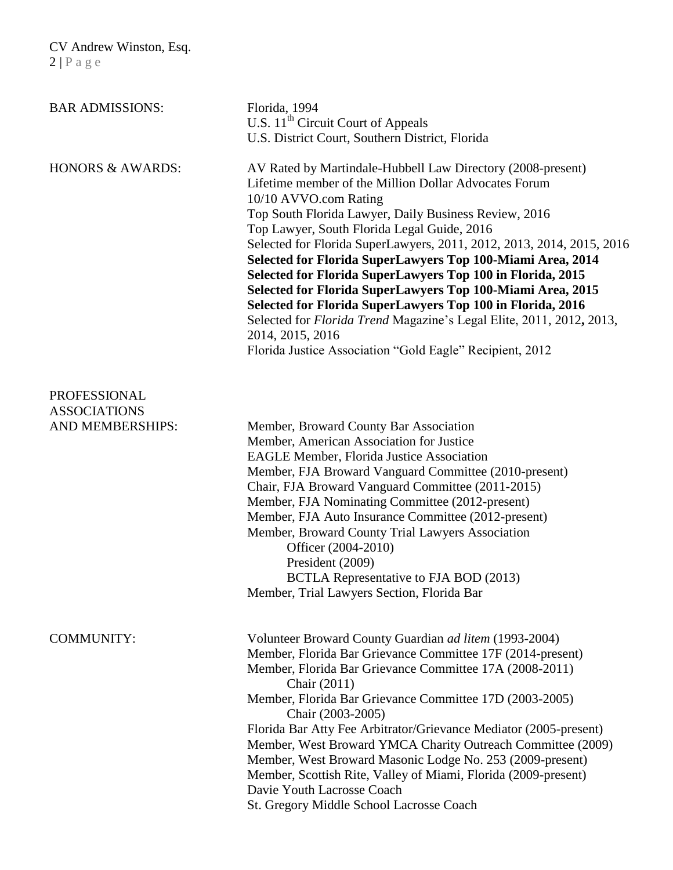| <b>BAR ADMISSIONS:</b>                                  | Florida, 1994<br>U.S. $11th$ Circuit Court of Appeals<br>U.S. District Court, Southern District, Florida                                                                                                                                                                                                                                                                                                                                                                                                                                                                                                                                                                                                                                       |
|---------------------------------------------------------|------------------------------------------------------------------------------------------------------------------------------------------------------------------------------------------------------------------------------------------------------------------------------------------------------------------------------------------------------------------------------------------------------------------------------------------------------------------------------------------------------------------------------------------------------------------------------------------------------------------------------------------------------------------------------------------------------------------------------------------------|
| <b>HONORS &amp; AWARDS:</b>                             | AV Rated by Martindale-Hubbell Law Directory (2008-present)<br>Lifetime member of the Million Dollar Advocates Forum<br>10/10 AVVO.com Rating<br>Top South Florida Lawyer, Daily Business Review, 2016<br>Top Lawyer, South Florida Legal Guide, 2016<br>Selected for Florida SuperLawyers, 2011, 2012, 2013, 2014, 2015, 2016<br>Selected for Florida SuperLawyers Top 100-Miami Area, 2014<br>Selected for Florida SuperLawyers Top 100 in Florida, 2015<br>Selected for Florida SuperLawyers Top 100-Miami Area, 2015<br>Selected for Florida SuperLawyers Top 100 in Florida, 2016<br>Selected for Florida Trend Magazine's Legal Elite, 2011, 2012, 2013,<br>2014, 2015, 2016<br>Florida Justice Association "Gold Eagle" Recipient, 2012 |
| PROFESSIONAL<br><b>ASSOCIATIONS</b><br>AND MEMBERSHIPS: | Member, Broward County Bar Association<br>Member, American Association for Justice<br><b>EAGLE Member, Florida Justice Association</b><br>Member, FJA Broward Vanguard Committee (2010-present)<br>Chair, FJA Broward Vanguard Committee (2011-2015)<br>Member, FJA Nominating Committee (2012-present)<br>Member, FJA Auto Insurance Committee (2012-present)<br>Member, Broward County Trial Lawyers Association<br>Officer (2004-2010)<br>President (2009)<br>BCTLA Representative to FJA BOD (2013)<br>Member, Trial Lawyers Section, Florida Bar                                                                                                                                                                                          |
| <b>COMMUNITY:</b>                                       | Volunteer Broward County Guardian ad litem (1993-2004)<br>Member, Florida Bar Grievance Committee 17F (2014-present)<br>Member, Florida Bar Grievance Committee 17A (2008-2011)<br>Chair (2011)<br>Member, Florida Bar Grievance Committee 17D (2003-2005)<br>Chair (2003-2005)<br>Florida Bar Atty Fee Arbitrator/Grievance Mediator (2005-present)<br>Member, West Broward YMCA Charity Outreach Committee (2009)<br>Member, West Broward Masonic Lodge No. 253 (2009-present)<br>Member, Scottish Rite, Valley of Miami, Florida (2009-present)<br>Davie Youth Lacrosse Coach<br>St. Gregory Middle School Lacrosse Coach                                                                                                                   |